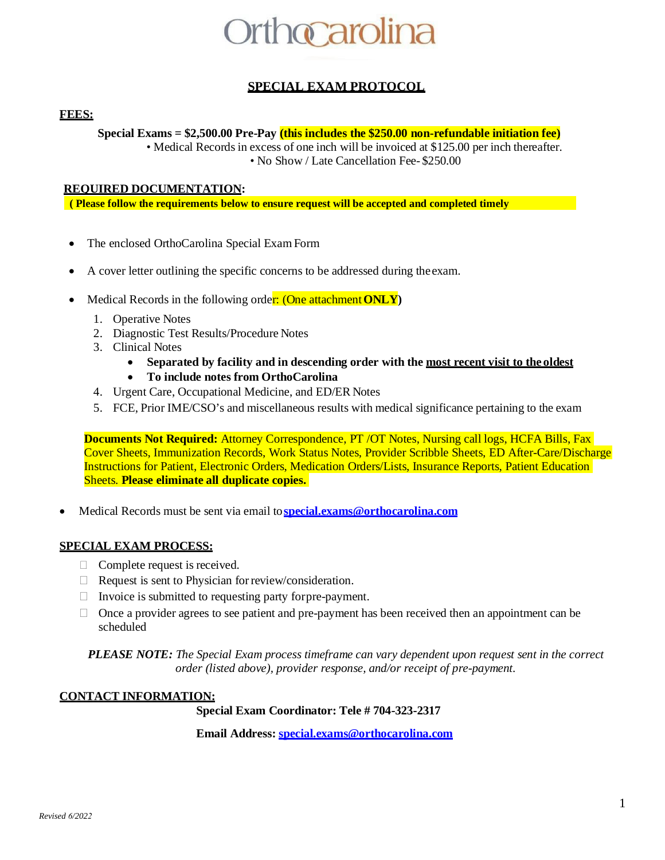# **rthccarolina**

# **SPECIAL EXAM PROTOCOL**

### **FEES:**

**Special Exams = \$2,500.00 Pre-Pay (this includes the \$250.00 non-refundable initiation fee)**

• Medical Records in excess of one inch will be invoiced at \$125.00 per inch thereafter. • No Show / Late Cancellation Fee- \$250.00

#### **REQUIRED DOCUMENTATION:**

**( Please follow the requirements below to ensure request will be accepted and completed timely**

- The enclosed OrthoCarolina Special Exam Form
- A cover letter outlining the specific concerns to be addressed during the exam.
- Medical Records in the following order: (One attachment **ONLY**)
	- 1. Operative Notes
	- 2. Diagnostic Test Results/Procedure Notes
	- 3. Clinical Notes
		- **Separated by facility and in descending order with the most recent visit to the oldest**
		- **To include notes from OrthoCarolina**
	- 4. Urgent Care, Occupational Medicine, and ED/ER Notes
	- 5. FCE, Prior IME/CSO's and miscellaneous results with medical significance pertaining to the exam

**Documents Not Required:** Attorney Correspondence, PT /OT Notes, Nursing call logs, HCFA Bills, Fax Cover Sheets, Immunization Records, Work Status Notes, Provider Scribble Sheets, ED After-Care/Discharge Instructions for Patient, Electronic Orders, Medication Orders/Lists, Insurance Reports, Patient Education Sheets. **Please eliminate all duplicate copies.** 

• Medical Records must be sent via email to**[special.exams@orthocarolina.com](mailto:special.exams@orthocarolina.com)**

### **SPECIAL EXAM PROCESS:**

- $\Box$  Complete request is received.
- $\Box$  Request is sent to Physician for review/consideration.
- $\Box$  Invoice is submitted to requesting party for pre-payment.
- $\Box$  Once a provider agrees to see patient and pre-payment has been received then an appointment can be scheduled

*PLEASE NOTE: The Special Exam process timeframe can vary dependent upon request sent in the correct order (listed above), provider response, and/or receipt of pre-payment.*

#### **CONTACT INFORMATION:**

**Special Exam Coordinator: Tele # 704-323-2317** 

**Email Address[: special.exams@orthocarolina.com](mailto:special.exams@orthocarolina.com)**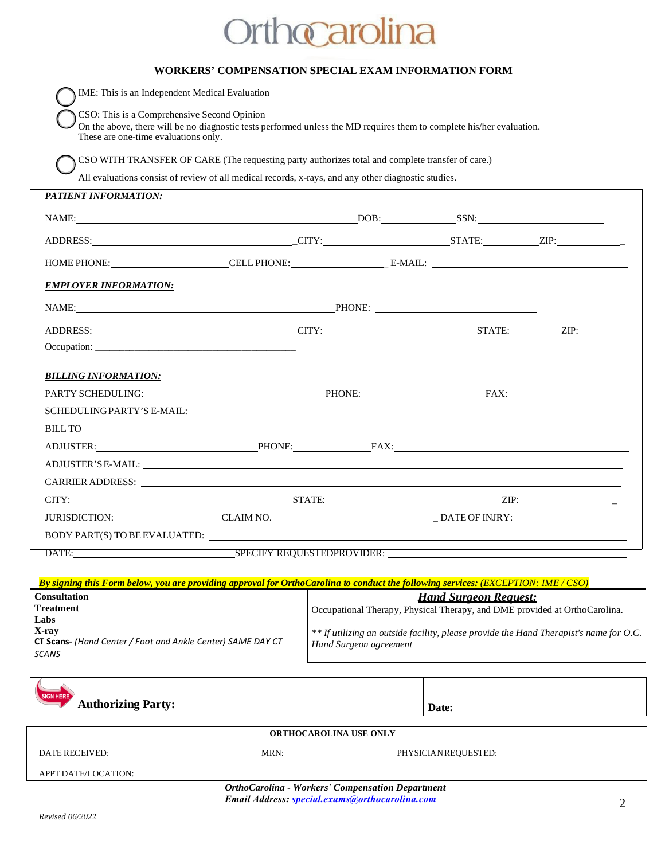# Orthocarolina

|                                                                                                                                                                                                              | <b>WORKERS' COMPENSATION SPECIAL EXAM INFORMATION FORM</b> |  |  |
|--------------------------------------------------------------------------------------------------------------------------------------------------------------------------------------------------------------|------------------------------------------------------------|--|--|
| IME: This is an Independent Medical Evaluation                                                                                                                                                               |                                                            |  |  |
| CSO: This is a Comprehensive Second Opinion<br>On the above, there will be no diagnostic tests performed unless the MD requires them to complete his/her evaluation.<br>These are one-time evaluations only. |                                                            |  |  |
| CSO WITH TRANSFER OF CARE (The requesting party authorizes total and complete transfer of care.)                                                                                                             |                                                            |  |  |
| All evaluations consist of review of all medical records, x-rays, and any other diagnostic studies.                                                                                                          |                                                            |  |  |
| PATIENT INFORMATION:                                                                                                                                                                                         |                                                            |  |  |
|                                                                                                                                                                                                              |                                                            |  |  |
|                                                                                                                                                                                                              |                                                            |  |  |
|                                                                                                                                                                                                              |                                                            |  |  |
| <b>EMPLOYER INFORMATION:</b>                                                                                                                                                                                 |                                                            |  |  |
| NAME: PHONE: PHONE:                                                                                                                                                                                          |                                                            |  |  |
|                                                                                                                                                                                                              |                                                            |  |  |
| Occupation:                                                                                                                                                                                                  |                                                            |  |  |
| <b>BILLING INFORMATION:</b>                                                                                                                                                                                  |                                                            |  |  |
|                                                                                                                                                                                                              |                                                            |  |  |
|                                                                                                                                                                                                              |                                                            |  |  |
|                                                                                                                                                                                                              |                                                            |  |  |
|                                                                                                                                                                                                              |                                                            |  |  |
|                                                                                                                                                                                                              |                                                            |  |  |
|                                                                                                                                                                                                              |                                                            |  |  |
|                                                                                                                                                                                                              |                                                            |  |  |
|                                                                                                                                                                                                              |                                                            |  |  |
|                                                                                                                                                                                                              |                                                            |  |  |
| DATE: SPECIFY REQUESTEDPROVIDER:                                                                                                                                                                             |                                                            |  |  |

| By signing this Form below, you are providing approval for OrthoCarolina to conduct the following services: (EXCEPTION: IME/CSO) |                                                                                        |  |  |  |
|----------------------------------------------------------------------------------------------------------------------------------|----------------------------------------------------------------------------------------|--|--|--|
| <b>Consultation</b>                                                                                                              | <b>Hand Surgeon Request:</b>                                                           |  |  |  |
| <b>Treatment</b>                                                                                                                 | Occupational Therapy, Physical Therapy, and DME provided at OrthoCarolina.             |  |  |  |
| Labs                                                                                                                             |                                                                                        |  |  |  |
| X-ray                                                                                                                            | ** If utilizing an outside facility, please provide the Hand Therapist's name for O.C. |  |  |  |
| <b>CT Scans-</b> (Hand Center / Foot and Ankle Center) SAME DAY CT                                                               | Hand Surgeon agreement                                                                 |  |  |  |
| SCANS                                                                                                                            |                                                                                        |  |  |  |

| SIGN HERE<br><b>Authorizing Party:</b>                                                                    |      | Date:                |  |
|-----------------------------------------------------------------------------------------------------------|------|----------------------|--|
| <b>ORTHOCAROLINA USE ONLY</b>                                                                             |      |                      |  |
| DATE RECEIVED:                                                                                            | MRN: | PHYSICIAN REQUESTED: |  |
| APPT DATE/LOCATION:                                                                                       |      |                      |  |
| <b>OrthoCarolina - Workers' Compensation Department</b><br>Email Address: special.exams@orthocarolina.com |      |                      |  |
|                                                                                                           |      |                      |  |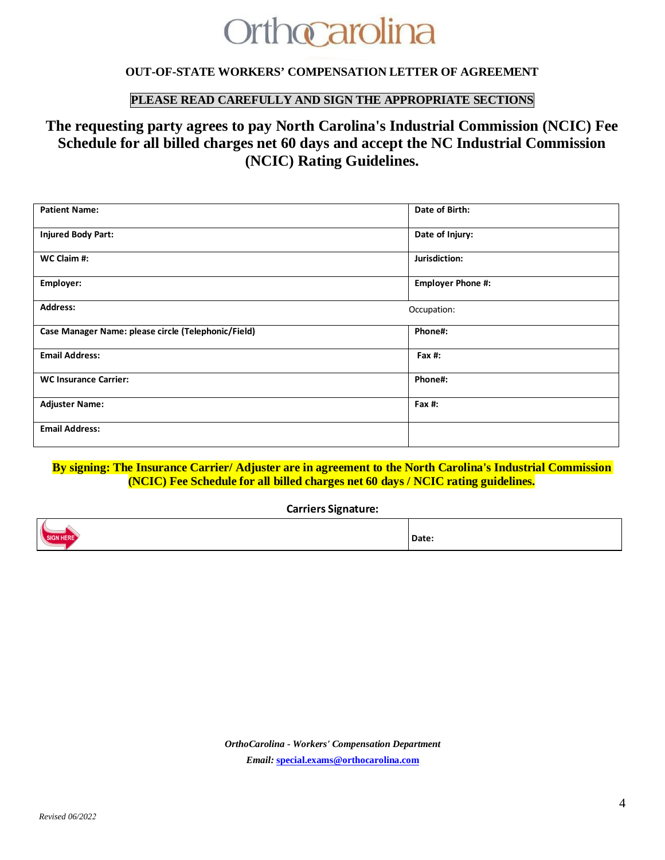# **Orthocarolina**

### **OUT-OF-STATE WORKERS' COMPENSATION LETTER OF AGREEMENT**

# **PLEASE READ CAREFULLY AND SIGN THE APPROPRIATE SECTIONS**

# **The requesting party agrees to pay North Carolina's Industrial Commission (NCIC) Fee Schedule for all billed charges net 60 days and accept the NC Industrial Commission (NCIC) Rating Guidelines.**

| <b>Patient Name:</b>                                | Date of Birth:           |
|-----------------------------------------------------|--------------------------|
| <b>Injured Body Part:</b>                           | Date of Injury:          |
| WC Claim #:                                         | Jurisdiction:            |
| Employer:                                           | <b>Employer Phone #:</b> |
| <b>Address:</b>                                     | Occupation:              |
| Case Manager Name: please circle (Telephonic/Field) | Phone#:                  |
| <b>Email Address:</b>                               | Fax $#$ :                |
| <b>WC Insurance Carrier:</b>                        | Phone#:                  |
| <b>Adjuster Name:</b>                               | Fax $#$ :                |
| <b>Email Address:</b>                               |                          |

#### **By signing: The Insurance Carrier/ Adjuster are in agreement to the North Carolina's Industrial Commission (NCIC) Fee Schedule for all billed charges net 60 days / NCIC rating guidelines.**

#### **Carriers Signature:**

|  | . |
|--|---|

*OrthoCarolina - Workers' Compensation Department Email:* **[special.exams@orthocarolina.com](mailto:special.exams@orthocarolina.com)**